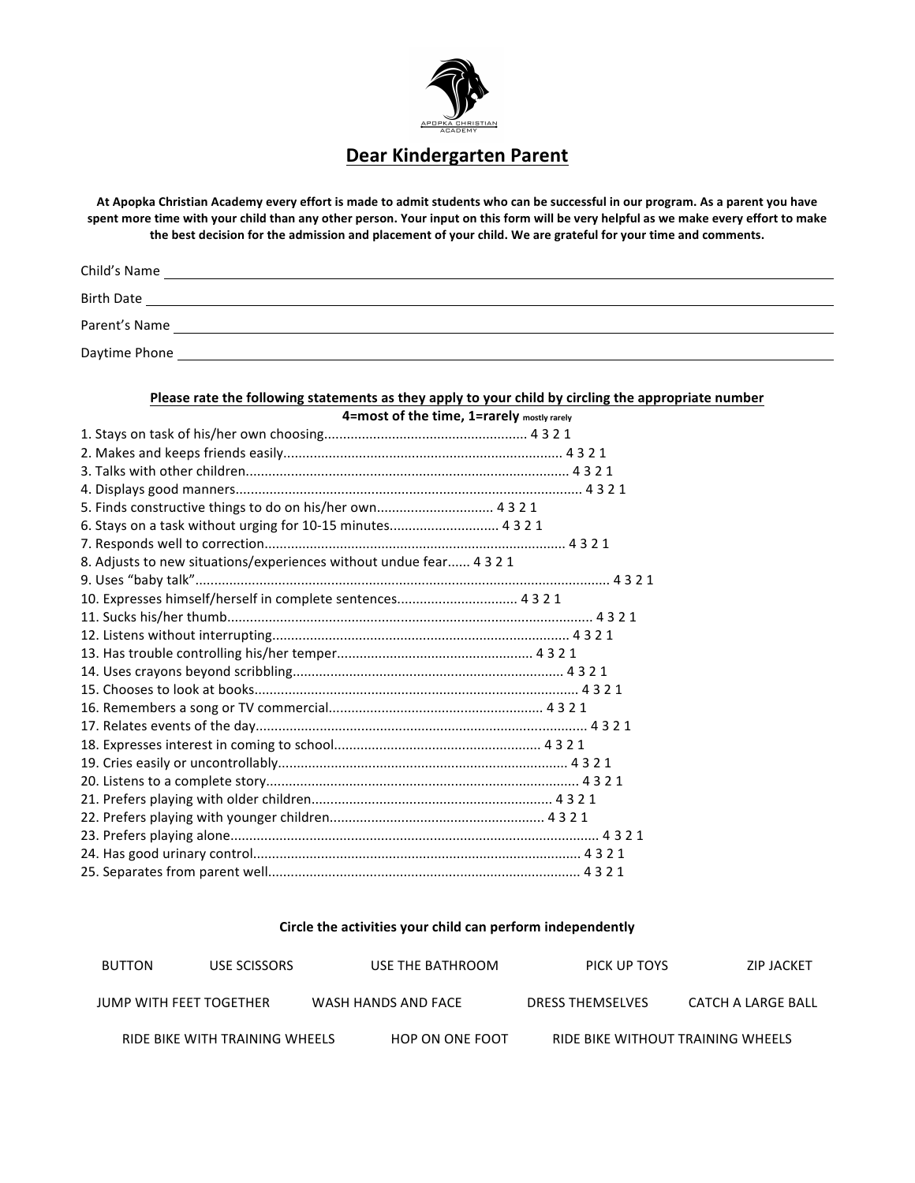

#### **Dear Kindergarten Parent**

At Apopka Christian Academy every effort is made to admit students who can be successful in our program. As a parent you have spent more time with your child than any other person. Your input on this form will be very helpful as we make every effort to make the best decision for the admission and placement of your child. We are grateful for your time and comments.

| Child's Name      |  |  |
|-------------------|--|--|
| <b>Birth Date</b> |  |  |
| Parent's Name     |  |  |
| Daytime Phone     |  |  |

#### Please rate the following statements as they apply to your child by circling the appropriate number **4=most of the time, 1=rarely mostly rarely**

| 5. Finds constructive things to do on his/her own 4321              |  |
|---------------------------------------------------------------------|--|
| 6. Stays on a task without urging for 10-15 minutes 4321            |  |
|                                                                     |  |
| 8. Adjusts to new situations/experiences without undue fear 4 3 2 1 |  |
|                                                                     |  |
| 10. Expresses himself/herself in complete sentences 4321            |  |
|                                                                     |  |
|                                                                     |  |
|                                                                     |  |
|                                                                     |  |
|                                                                     |  |
|                                                                     |  |
|                                                                     |  |
|                                                                     |  |
|                                                                     |  |
|                                                                     |  |
|                                                                     |  |
|                                                                     |  |
|                                                                     |  |
|                                                                     |  |
|                                                                     |  |

#### Circle the activities your child can perform independently

| BUTTON                  | USE SCISSORS                   | USE THE BATHROOM    | PICK UP TOYS                      | ZIP JACKET         |
|-------------------------|--------------------------------|---------------------|-----------------------------------|--------------------|
| JUMP WITH FEET TOGETHER |                                | WASH HANDS AND FACE | <b>DRESS THEMSELVES</b>           | CATCH A LARGE BALL |
|                         | RIDE BIKE WITH TRAINING WHEELS | HOP ON ONE FOOT     | RIDE BIKE WITHOUT TRAINING WHEELS |                    |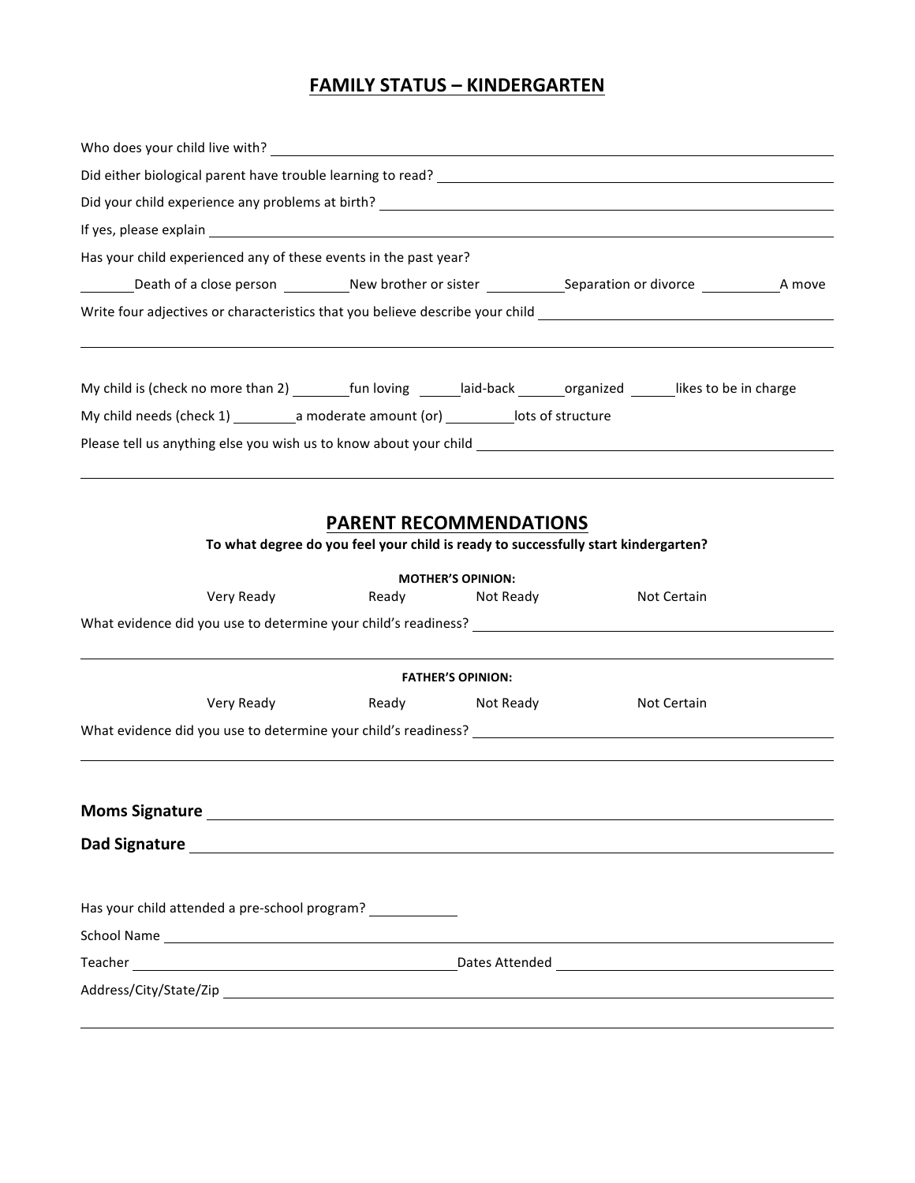### **FAMILY STATUS – KINDERGARTEN**

| Has your child experienced any of these events in the past year?                                                      |                                                                                                                     |                          |                                                                                                                       |  |
|-----------------------------------------------------------------------------------------------------------------------|---------------------------------------------------------------------------------------------------------------------|--------------------------|-----------------------------------------------------------------------------------------------------------------------|--|
|                                                                                                                       |                                                                                                                     |                          | _Death of a close person ____________New brother or sister ______________Separation or divorce ______________A move   |  |
|                                                                                                                       |                                                                                                                     |                          |                                                                                                                       |  |
| My child is (check no more than 2) _________fun loving _______laid-back _______organized _______likes to be in charge |                                                                                                                     |                          |                                                                                                                       |  |
|                                                                                                                       |                                                                                                                     |                          |                                                                                                                       |  |
|                                                                                                                       | <b>PARENT RECOMMENDATIONS</b><br>To what degree do you feel your child is ready to successfully start kindergarten? | <b>MOTHER'S OPINION:</b> | <u> 1989 - Johann Stoff, deutscher Stoffen und der Stoffen und der Stoffen und der Stoffen und der Stoffen und de</u> |  |
| Very Ready                                                                                                            |                                                                                                                     | Ready Not Ready          | Not Certain                                                                                                           |  |

|                                               |                           | <b>FATHER'S OPINION:</b>                                                                                                                                                                                                      |             |
|-----------------------------------------------|---------------------------|-------------------------------------------------------------------------------------------------------------------------------------------------------------------------------------------------------------------------------|-------------|
|                                               | Very Ready Nervice States | Ready Not Ready                                                                                                                                                                                                               | Not Certain |
|                                               |                           |                                                                                                                                                                                                                               |             |
|                                               |                           |                                                                                                                                                                                                                               |             |
|                                               |                           |                                                                                                                                                                                                                               |             |
|                                               |                           |                                                                                                                                                                                                                               |             |
|                                               |                           |                                                                                                                                                                                                                               |             |
|                                               |                           |                                                                                                                                                                                                                               |             |
|                                               |                           |                                                                                                                                                                                                                               |             |
|                                               |                           | Dad Signature Lawrence and Contract and Contract and Contract and Contract and Contract and Contract and Contract and Contract and Contract and Contract and Contract and Contract and Contract and Contract and Contract and |             |
|                                               |                           |                                                                                                                                                                                                                               |             |
| Has your child attended a pre-school program? |                           |                                                                                                                                                                                                                               |             |
|                                               |                           |                                                                                                                                                                                                                               |             |
|                                               |                           |                                                                                                                                                                                                                               |             |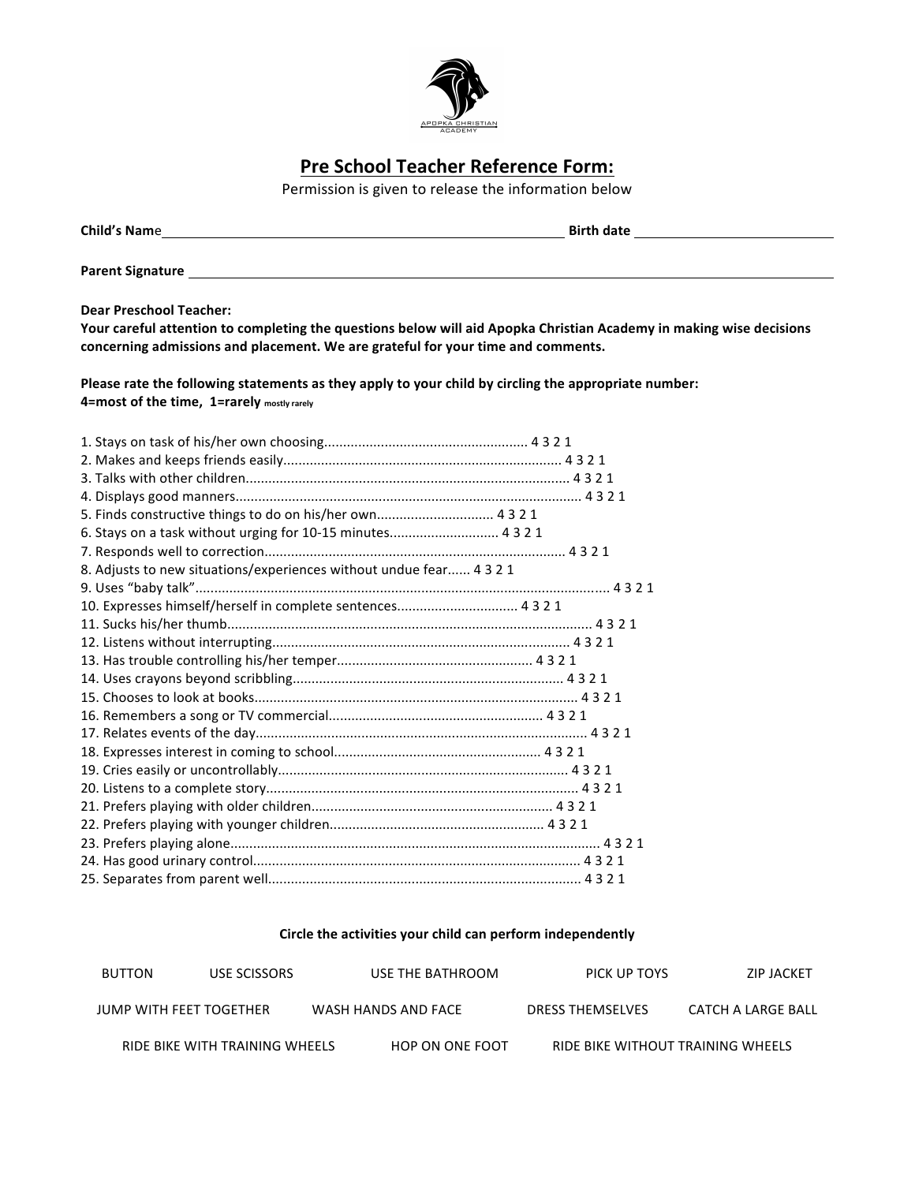

## **Pre School Teacher Reference Form:**

Permission is given to release the information below

|                                |                                            |                                                                                                                                                                                                                                |                         | <b>Birth date Example 2018</b> |
|--------------------------------|--------------------------------------------|--------------------------------------------------------------------------------------------------------------------------------------------------------------------------------------------------------------------------------|-------------------------|--------------------------------|
|                                |                                            | Parent Signature and the contract of the contract of the contract of the contract of the contract of the contract of the contract of the contract of the contract of the contract of the contract of the contract of the contr |                         |                                |
| <b>Dear Preschool Teacher:</b> |                                            | Your careful attention to completing the questions below will aid Apopka Christian Academy in making wise decisions<br>concerning admissions and placement. We are grateful for your time and comments.                        |                         |                                |
|                                | 4=most of the time, 1=rarely mostly rarely | Please rate the following statements as they apply to your child by circling the appropriate number:                                                                                                                           |                         |                                |
|                                |                                            |                                                                                                                                                                                                                                |                         |                                |
|                                |                                            |                                                                                                                                                                                                                                |                         |                                |
|                                |                                            |                                                                                                                                                                                                                                |                         |                                |
|                                |                                            |                                                                                                                                                                                                                                |                         |                                |
|                                |                                            |                                                                                                                                                                                                                                |                         |                                |
|                                |                                            | 5. Finds constructive things to do on his/her own 4321                                                                                                                                                                         |                         |                                |
|                                |                                            | 6. Stays on a task without urging for 10-15 minutes 4321                                                                                                                                                                       |                         |                                |
|                                |                                            |                                                                                                                                                                                                                                |                         |                                |
|                                |                                            | 8. Adjusts to new situations/experiences without undue fear 4321                                                                                                                                                               |                         |                                |
|                                |                                            |                                                                                                                                                                                                                                |                         |                                |
|                                |                                            | 10. Expresses himself/herself in complete sentences 4 3 2 1                                                                                                                                                                    |                         |                                |
|                                |                                            |                                                                                                                                                                                                                                |                         |                                |
|                                |                                            |                                                                                                                                                                                                                                |                         |                                |
|                                |                                            |                                                                                                                                                                                                                                |                         |                                |
|                                |                                            |                                                                                                                                                                                                                                |                         |                                |
|                                |                                            |                                                                                                                                                                                                                                |                         |                                |
|                                |                                            |                                                                                                                                                                                                                                |                         |                                |
|                                |                                            |                                                                                                                                                                                                                                |                         |                                |
|                                |                                            |                                                                                                                                                                                                                                |                         |                                |
|                                |                                            |                                                                                                                                                                                                                                |                         |                                |
|                                |                                            |                                                                                                                                                                                                                                |                         |                                |
|                                |                                            |                                                                                                                                                                                                                                |                         |                                |
|                                |                                            |                                                                                                                                                                                                                                |                         |                                |
|                                |                                            |                                                                                                                                                                                                                                |                         |                                |
|                                |                                            |                                                                                                                                                                                                                                |                         |                                |
|                                |                                            |                                                                                                                                                                                                                                |                         |                                |
|                                |                                            | Circle the activities your child can perform independently                                                                                                                                                                     |                         |                                |
| <b>BUTTON</b>                  | <b>USE SCISSORS</b>                        | USE THE BATHROOM                                                                                                                                                                                                               | PICK UP TOYS            | <b>ZIP JACKET</b>              |
| <b>JUMP WITH FEET TOGETHER</b> |                                            | WASH HANDS AND FACE                                                                                                                                                                                                            | <b>DRESS THEMSELVES</b> | CATCH A LARGE BALL             |

RIDE BIKE WITH TRAINING WHEELS HOP ON ONE FOOT RIDE BIKE WITHOUT TRAINING WHEELS